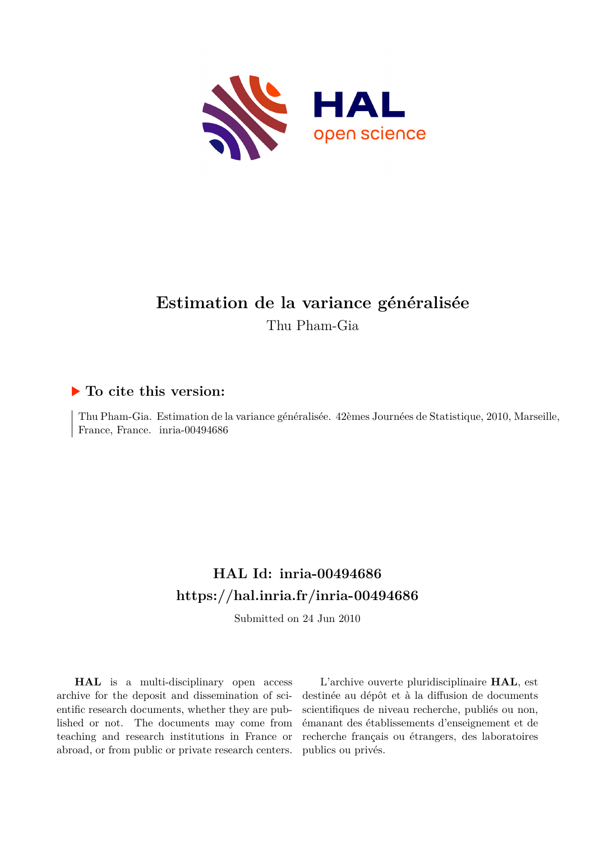

# **Estimation de la variance généralisée** Thu Pham-Gia

## **To cite this version:**

Thu Pham-Gia. Estimation de la variance généralisée. 42èmes Journées de Statistique, 2010, Marseille, France, France. inria-00494686

# **HAL Id: inria-00494686 <https://hal.inria.fr/inria-00494686>**

Submitted on 24 Jun 2010

**HAL** is a multi-disciplinary open access archive for the deposit and dissemination of scientific research documents, whether they are published or not. The documents may come from teaching and research institutions in France or abroad, or from public or private research centers.

L'archive ouverte pluridisciplinaire **HAL**, est destinée au dépôt et à la diffusion de documents scientifiques de niveau recherche, publiés ou non, émanant des établissements d'enseignement et de recherche français ou étrangers, des laboratoires publics ou privés.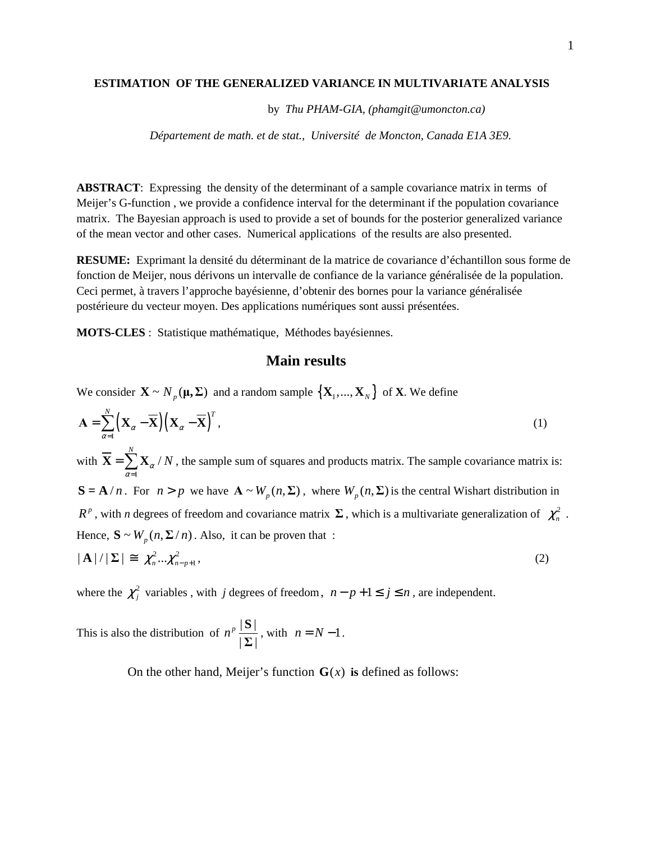#### **ESTIMATION OF THE GENERALIZED VARIANCE IN MULTIVARIATE ANALYSIS**

by *Thu PHAM-GIA, (phamgit@umoncton.ca)* 

 *Département de math. et de stat., Université de Moncton, Canada E1A 3E9.* 

**ABSTRACT**: Expressing the density of the determinant of a sample covariance matrix in terms of Meijer's G-function , we provide a confidence interval for the determinant if the population covariance matrix. The Bayesian approach is used to provide a set of bounds for the posterior generalized variance of the mean vector and other cases. Numerical applications of the results are also presented.

**RESUME:** Exprimant la densité du déterminant de la matrice de covariance d'échantillon sous forme de fonction de Meijer, nous dérivons un intervalle de confiance de la variance généralisée de la population. Ceci permet, à travers l'approche bayésienne, d'obtenir des bornes pour la variance généralisée postérieure du vecteur moyen. Des applications numériques sont aussi présentées.

**MOTS-CLES** : Statistique mathématique, Méthodes bayésiennes.

### **Main results**

We consider  ${\bf X} \sim N_p({\bf \mu}, {\bf \Sigma})$  and a random sample  $\{ {\bf X}_1, ..., {\bf X}_N \}$  of  ${\bf X}$ . We define

$$
\mathbf{A} = \sum_{\alpha=1}^{N} \left( \mathbf{X}_{\alpha} - \overline{\mathbf{X}} \right) \left( \mathbf{X}_{\alpha} - \overline{\mathbf{X}} \right)^{T},
$$
\n
$$
\text{with } \overline{\mathbf{X}} = \sum_{\alpha=1}^{N} \mathbf{X}_{\alpha} / N \text{, the sample sum of squares and products matrix. The sample covariance matrix is:}
$$
\n
$$
\mathbf{S} = \mathbf{A} / n. \text{ For } n > p \text{ we have } \mathbf{A} \sim W_{p}(n, \Sigma) \text{, where } W_{p}(n, \Sigma) \text{ is the central Wishart distribution in}
$$
\n
$$
R^{p}, \text{ with } n \text{ degrees of freedom and covariance matrix } \Sigma \text{, which is a multivariate generalization of } \chi_{n}^{2}
$$
\n
$$
\text{Hence, } \mathbf{S} \sim W_{p}(n, \Sigma / n). \text{ Also, it can be proven that :}
$$
\n
$$
|\mathbf{A}| / |\Sigma| \equiv \chi_{n}^{2} \cdots \chi_{n-p+1}^{2},
$$
\n
$$
(2)
$$

where the  $\chi_j^2$  variables, with *j* degrees of freedom,  $n - p + 1 \le j \le n$ , are independent.

This is also the distribution of  $n^p \frac{|\mathbf{S}|}{|\mathbf{S}|}$  $|\Sigma|$  $n^p \frac{|\mathbf{S}|}{\mathbf{S}}$ **Σ** , with  $n = N - 1$ .

On the other hand, Meijer's function  $\mathbf{G}(x)$  is defined as follows:

.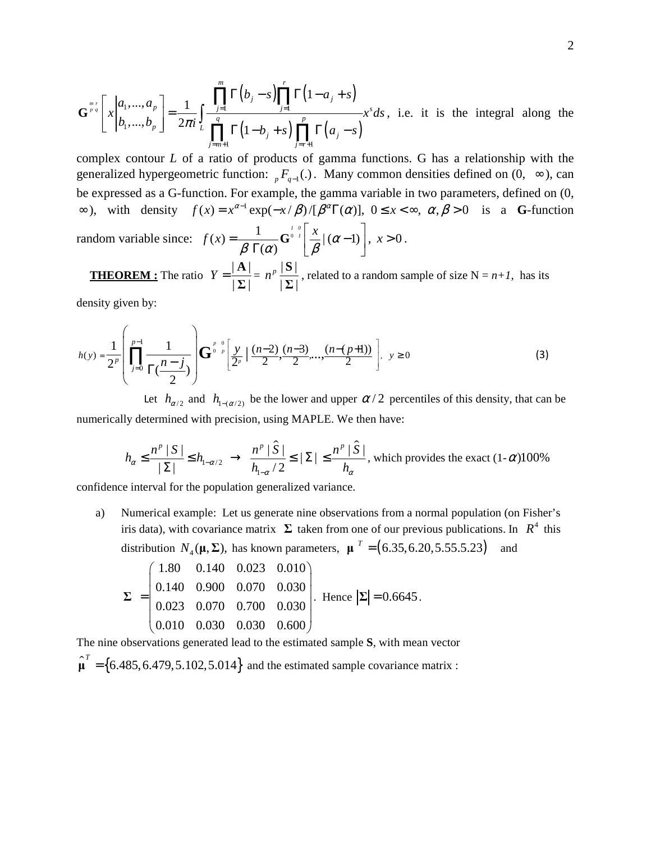$$
\mathbf{G}^{\frac{m}{p}q}\left[x\Big|a_1,\dots,a_p\atop b_1,\dots,b_p\right] = \frac{1}{2\pi i} \int_{L} \frac{\prod_{j=1}^m \Gamma(b_j-s) \prod_{j=1}^r \Gamma(1-a_j+s)}{\prod_{j=m+1}^q \Gamma(1-b_j+s) \prod_{j=r+1}^p \Gamma(a_j-s)} x^s ds
$$
, i.e. it is the integral along the

complex contour *L* of a ratio of products of gamma functions. G has a relationship with the generalized hypergeometric function:  ${}_{p}F_{q-1}$ . Many common densities defined on  $(0, \infty)$ , can be expressed as a G-function. For example, the gamma variable in two parameters, defined on (0,  $\infty$ ), with density  $f(x) = x^{\alpha-1} \exp(-x/\beta) / [\beta^{\alpha} \Gamma(\alpha)]$ ,  $0 \le x < \infty$ ,  $\alpha, \beta > 0$  is a G-function random variable since:  $f(x) = \frac{1}{\sqrt{2\pi}} \int_{0}^{1/\sqrt{2}} \left| \frac{x}{g} \right| (\alpha - 1)$  $f(x) = \frac{1}{2 \pi i x^2} \mathbf{G}^{\frac{1}{0} - 1} \left| \frac{x}{2} \right| (\alpha)$  $\beta$   $\Gamma(\alpha)$  |  $\beta$  $\begin{bmatrix} x & 1 \end{bmatrix}$  $=\frac{1}{\beta \Gamma(\alpha)}\mathbf{G}^{\circ} \left[\frac{x}{\beta} | (\alpha-1)\right], x>0.$ 

**THEOREM :** The ratio  $Y = \frac{|\mathbf{A}|}{|I|}$  $|\Sigma|$  $Y = \frac{|\mathbf{A}|}{|\mathbf{A}|}$ **Σ**  $= n^p \frac{|\mathbf{S}|}{|\mathbf{S}|}$  $|\Sigma|$  $n^p \frac{|\mathbf{S}|}{\mathbf{S}}$ **Σ** , related to a random sample of size  $N = n+1$ , has its

 $(\alpha)$ 

density given by:

$$
h(y) = \frac{1}{2^p} \left( \prod_{j=0}^{p-1} \frac{1}{\Gamma(\frac{n-j}{2})} \right) \mathbf{G}^{\frac{p-0}{0-p}} \left[ \frac{y}{2^p} \left( \frac{(n-2)}{2}, \frac{(n-3)}{2}, \dots, \frac{(n-(p+1))}{2} \right) \right], \ y \ge 0 \tag{3}
$$

Let  $h_{\alpha/2}$  and  $h_{1-(\alpha/2)}$  be the lower and upper  $\alpha/2$  percentiles of this density, that can be numerically determined with precision, using MAPLE. We then have:

$$
h_{\alpha} \le \frac{n^{\rho} |S|}{|\Sigma|} \le h_{1-\alpha/2} \rightarrow \frac{n^{\rho} |\hat{S}|}{h_{1-\alpha}/2} \le |\Sigma| \le \frac{n^{\rho} |\hat{S}|}{h_{\alpha}},
$$
 which provides the exact (1- $\alpha$ )100%

confidence interval for the population generalized variance.

a) Numerical example: Let us generate nine observations from a normal population (on Fisher's iris data), with covariance matrix  $\Sigma$  taken from one of our previous publications. In  $R^4$  this distribution  $N_4(\mu, \Sigma)$ , has known parameters,  $\mu^T = (6.35, 6.20, 5.55.5.23)$  and

$$
\Sigma = \begin{pmatrix} 1.80 & 0.140 & 0.023 & 0.010 \\ 0.140 & 0.900 & 0.070 & 0.030 \\ 0.023 & 0.070 & 0.700 & 0.030 \\ 0.010 & 0.030 & 0.030 & 0.600 \end{pmatrix}.
$$
 Hence  $|\Sigma| = 0.6645$ .

The nine observations generated lead to the estimated sample **S**, with mean vector  $\hat{\mu}^T = \{6.485, 6.479, 5.102, 5.014\}$  and the estimated sample covariance matrix :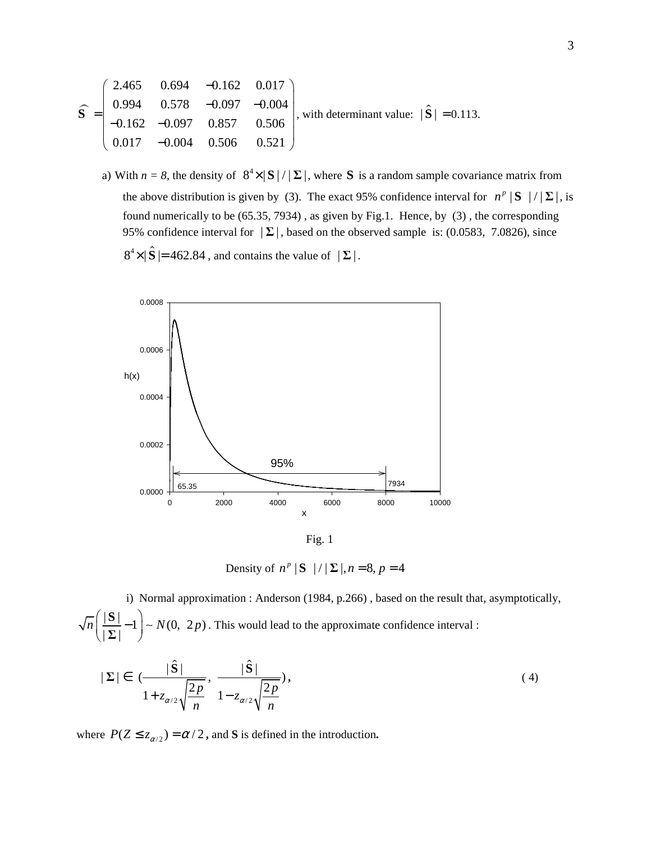$$
\widehat{\mathbf{S}} = \begin{pmatrix}\n2.465 & 0.694 & -0.162 & 0.017 \\
0.994 & 0.578 & -0.097 & -0.004 \\
-0.162 & -0.097 & 0.857 & 0.506 \\
0.017 & -0.004 & 0.506 & 0.521\n\end{pmatrix}
$$
, with determinant value:  $|\widehat{\mathbf{S}}| = 0.113$ .

a) With  $n = 8$ , the density of  $8^4 \times |S| / |\Sigma|$ , where **S** is a random sample covariance matrix from the above distribution is given by (3). The exact 95% confidence interval for  $n^p |S| / |\Sigma|$ , is found numerically to be (65.35, 7934) , as given by Fig.1. Hence, by (3) , the corresponding 95% confidence interval for  $|\Sigma|$ , based on the observed sample is: (0.0583, 7.0826), since  $8^4 \times |\hat{\mathbf{S}}| = 462.84$ , and contains the value of  $|\Sigma|$ .



Fig. 1

Density of  $n^p | S | / | \Sigma |, n = 8, p = 4$ 

 i) Normal approximation : Anderson (1984, p.266) , based on the result that, asymptotically,  $\left|\frac{|\mathbf{S}|}{|S|-1}\right| \sim N(0, 2p)$  $|\Sigma|$  $\overline{n} \left( \frac{|\mathbf{S}|}{|\mathbf{S}|} - 1 \right) \sim N(0, 2p)$  $\left(\frac{|\mathbf{S}|}{|\mathbf{\Sigma}|} - 1\right)$ **Σ**  $~\sim N(0, 2p)$ . This would lead to the approximate confidence interval :

$$
|\Sigma| \in \left(\frac{|\hat{\mathbf{S}}|}{1 + z_{\alpha/2}\sqrt{\frac{2p}{n}}}, \frac{|\hat{\mathbf{S}}|}{1 - z_{\alpha/2}\sqrt{\frac{2p}{n}}}\right),\tag{4}
$$

where  $P(Z \le z_{\alpha/2}) = \alpha/2$ , and **S** is defined in the introduction.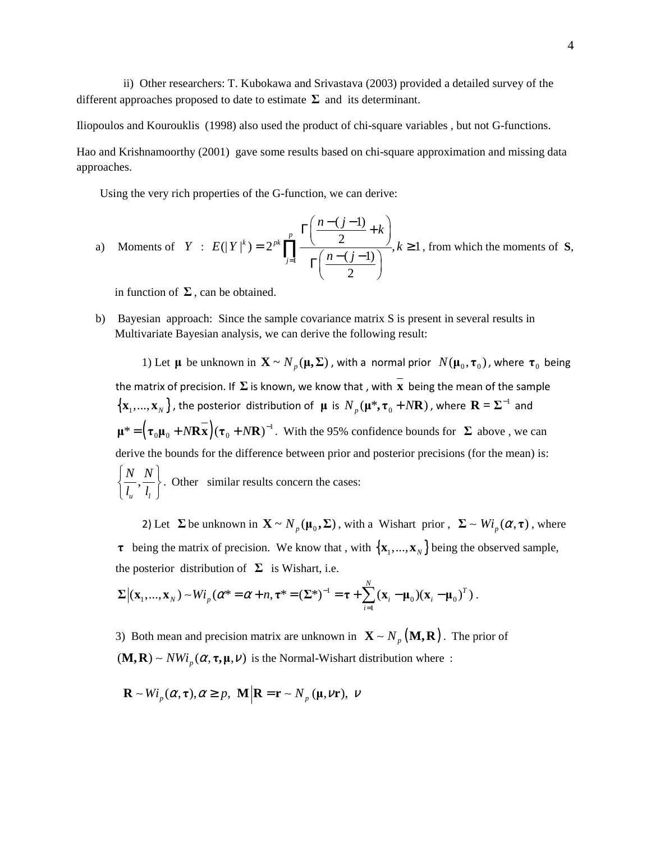ii) Other researchers: T. Kubokawa and Srivastava (2003) provided a detailed survey of the different approaches proposed to date to estimate  $\Sigma$  and its determinant.

Iliopoulos and Kourouklis (1998) also used the product of chi-square variables , but not G-functions.

Hao and Krishnamoorthy (2001) gave some results based on chi-square approximation and missing data approaches.

Using the very rich properties of the G-function, we can derive:

a) Moments of 
$$
Y : E(|Y|^k) = 2^{pk} \prod_{j=1}^p \frac{\Gamma\left(\frac{n-(j-1)}{2} + k\right)}{\Gamma\left(\frac{n-(j-1)}{2}\right)}, k \ge 1
$$
, from which the moments of **S**,

in function of  $\Sigma$ , can be obtained.

b) Bayesian approach: Since the sample covariance matrix S is present in several results in Multivariate Bayesian analysis, we can derive the following result:

1) Let  $\mu$  be unknown in  $\mathbf{X} \sim N_p(\mu, \Sigma)$ , with a normal prior  $N(\mu_0, \tau_0)$ , where  $\tau_0$  being the matrix of precision. If **Σ** is known, we know that , with **x** being the mean of the sample  $\{X_1,...,X_N\}$ , the posterior distribution of  $\mu$  is  $N_p(\mu^*, \tau_0 + N\mathbf{R})$ , where  $\mathbf{R} = \Sigma^{-1}$  and  $\mu^* = (\tau_0 \mu_0 + N \mathbf{R} \mathbf{x}) (\tau_0 + N \mathbf{R})^{-1}$ . With the 95% confidence bounds for  $\Sigma$  above, we can derive the bounds for the difference between prior and posterior precisions (for the mean) is: , *u l N N*  $\left\{\frac{N}{l_u},\frac{N}{l_l}\right\}$ . Other similar results concern the cases:

2) Let  $\Sigma$  be unknown in  $\mathbf{X} \sim N_p(\mathbf{\mu}_0, \Sigma)$ , with a Wishart prior,  $\Sigma \sim Wi_p(\alpha, \tau)$ , where **τ** being the matrix of precision. We know that, with  $\{X_1, ..., X_N\}$  being the observed sample, the posterior distribution of  $\Sigma$  is Wishart, i.e.

$$
\Sigma |(\mathbf{x}_1,...,\mathbf{x}_N) - Wi_p(\alpha^* = \alpha + n, \tau^* = (\Sigma^*)^{-1} = \tau + \sum_{i=1}^N (\mathbf{x}_i - \mu_0)(\mathbf{x}_i - \mu_0)^T).
$$

3) Both mean and precision matrix are unknown in  $\mathbf{X} \sim N_p(\mathbf{M}, \mathbf{R})$ . The prior of  $(M, R) \sim NWi_p(\alpha, \tau, \mu, \nu)$  is the Normal-Wishart distribution where :

$$
\mathbf{R} \sim Wi_p(\alpha, \tau), \alpha \ge p, \ \mathbf{M} \big| \mathbf{R} = \mathbf{r} \sim N_p(\mathbf{\mu}, \nu \mathbf{r}), \ \nu
$$